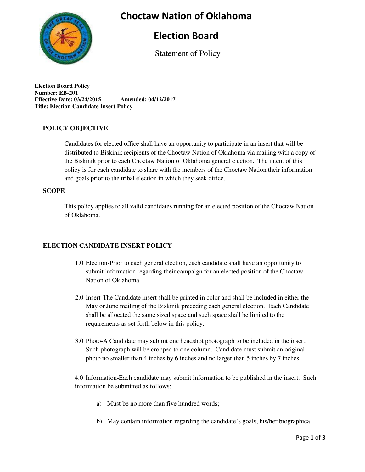### **Choctaw Nation of Oklahoma**



### **Election Board**

Statement of Policy

**Election Board Policy Number: EB-201 Effective Date: 03/24/2015 Amended: 04/12/2017 Title: Election Candidate Insert Policy**

#### **POLICY OBJECTIVE**

Candidates for elected office shall have an opportunity to participate in an insert that will be distributed to Biskinik recipients of the Choctaw Nation of Oklahoma via mailing with a copy of the Biskinik prior to each Choctaw Nation of Oklahoma general election. The intent of this policy is for each candidate to share with the members of the Choctaw Nation their information and goals prior to the tribal election in which they seek office.

#### **SCOPE**

This policy applies to all valid candidates running for an elected position of the Choctaw Nation of Oklahoma.

#### **ELECTION CANDIDATE INSERT POLICY**

- 1.0 Election-Prior to each general election, each candidate shall have an opportunity to submit information regarding their campaign for an elected position of the Choctaw Nation of Oklahoma.
- 2.0 Insert-The Candidate insert shall be printed in color and shall be included in either the May or June mailing of the Biskinik preceding each general election. Each Candidate shall be allocated the same sized space and such space shall be limited to the requirements as set forth below in this policy.
- 3.0 Photo-A Candidate may submit one headshot photograph to be included in the insert. Such photograph will be cropped to one column. Candidate must submit an original photo no smaller than 4 inches by 6 inches and no larger than 5 inches by 7 inches.

4.0 Information-Each candidate may submit information to be published in the insert. Such information be submitted as follows:

- a) Must be no more than five hundred words;
- b) May contain information regarding the candidate's goals, his/her biographical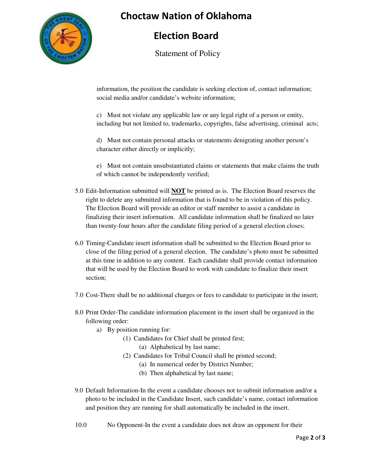

## **Choctaw Nation of Oklahoma**

## **Election Board**

Statement of Policy

information, the position the candidate is seeking election of, contact information; social media and/or candidate's website information;

c) Must not violate any applicable law or any legal right of a person or entity, including but not limited to, trademarks, copyrights, false advertising, criminal acts;

d) Must not contain personal attacks or statements denigrating another person's character either directly or implicitly;

e) Must not contain unsubstantiated claims or statements that make claims the truth of which cannot be independently verified;

- 5.0 Edit-Information submitted will **NOT** be printed as is. The Election Board reserves the right to delete any submitted information that is found to be in violation of this policy. The Election Board will provide an editor or staff member to assist a candidate in finalizing their insert information. All candidate information shall be finalized no later than twenty-four hours after the candidate filing period of a general election closes;
- 6.0 Timing-Candidate insert information shall be submitted to the Election Board prior to close of the filing period of a general election. The candidate's photo must be submitted at this time in addition to any content. Each candidate shall provide contact information that will be used by the Election Board to work with candidate to finalize their insert section;
- 7.0 Cost-There shall be no additional charges or fees to candidate to participate in the insert;
- 8.0 Print Order-The candidate information placement in the insert shall be organized in the following order:
	- a) By position running for:
		- (1) Candidates for Chief shall be printed first;
			- (a) Alphabetical by last name;
		- (2) Candidates for Tribal Council shall be printed second;
			- (a) In numerical order by District Number;
			- (b) Then alphabetical by last name;
- 9.0 Default Information-In the event a candidate chooses not to submit information and/or a photo to be included in the Candidate Insert, such candidate's name, contact information and position they are running for shall automatically be included in the insert.
- 10.0 No Opponent-In the event a candidate does not draw an opponent for their